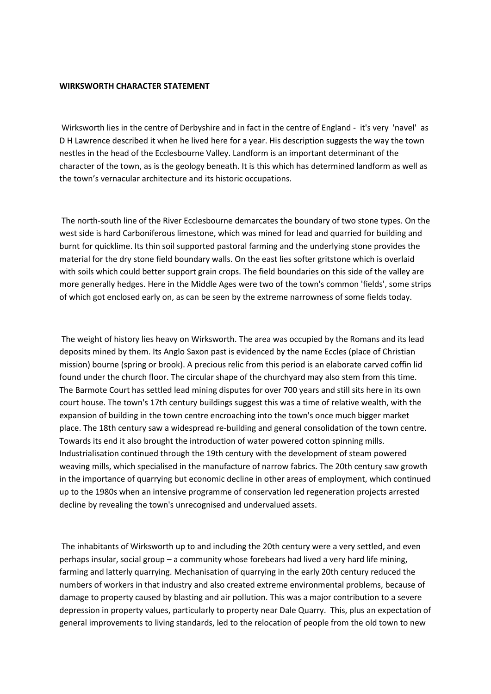## **WIRKSWORTH CHARACTER STATEMENT**

Wirksworth lies in the centre of Derbyshire and in fact in the centre of England - it's very 'navel' as D H Lawrence described it when he lived here for a year. His description suggests the way the town nestles in the head of the Ecclesbourne Valley. Landform is an important determinant of the character of the town, as is the geology beneath. It is this which has determined landform as well as the town's vernacular architecture and its historic occupations.

The north-south line of the River Ecclesbourne demarcates the boundary of two stone types. On the west side is hard Carboniferous limestone, which was mined for lead and quarried for building and burnt for quicklime. Its thin soil supported pastoral farming and the underlying stone provides the material for the dry stone field boundary walls. On the east lies softer gritstone which is overlaid with soils which could better support grain crops. The field boundaries on this side of the valley are more generally hedges. Here in the Middle Ages were two of the town's common 'fields', some strips of which got enclosed early on, as can be seen by the extreme narrowness of some fields today.

The weight of history lies heavy on Wirksworth. The area was occupied by the Romans and its lead deposits mined by them. Its Anglo Saxon past is evidenced by the name Eccles (place of Christian mission) bourne (spring or brook). A precious relic from this period is an elaborate carved coffin lid found under the church floor. The circular shape of the churchyard may also stem from this time. The Barmote Court has settled lead mining disputes for over 700 years and still sits here in its own court house. The town's 17th century buildings suggest this was a time of relative wealth, with the expansion of building in the town centre encroaching into the town's once much bigger market place. The 18th century saw a widespread re-building and general consolidation of the town centre. Towards its end it also brought the introduction of water powered cotton spinning mills. Industrialisation continued through the 19th century with the development of steam powered weaving mills, which specialised in the manufacture of narrow fabrics. The 20th century saw growth in the importance of quarrying but economic decline in other areas of employment, which continued up to the 1980s when an intensive programme of conservation led regeneration projects arrested decline by revealing the town's unrecognised and undervalued assets.

The inhabitants of Wirksworth up to and including the 20th century were a very settled, and even perhaps insular, social group – a community whose forebears had lived a very hard life mining, farming and latterly quarrying. Mechanisation of quarrying in the early 20th century reduced the numbers of workers in that industry and also created extreme environmental problems, because of damage to property caused by blasting and air pollution. This was a major contribution to a severe depression in property values, particularly to property near Dale Quarry. This, plus an expectation of general improvements to living standards, led to the relocation of people from the old town to new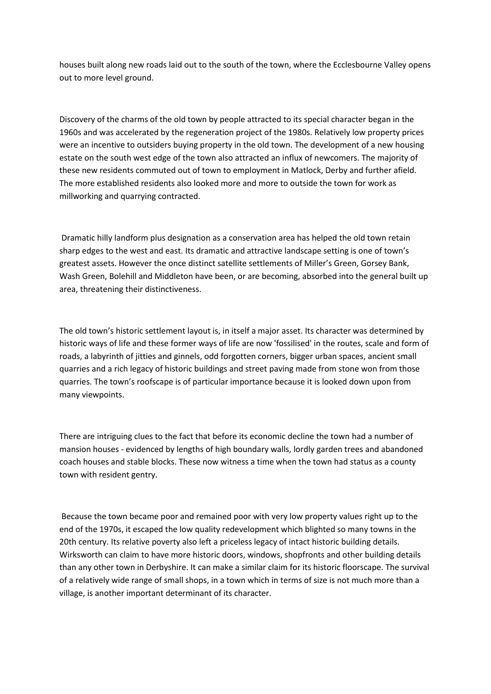houses built along new roads laid out to the south of the town, where the Ecclesbourne Valley opens out to more level ground.

Discovery of the charms of the old town by people attracted to its special character began in the 1960s and was accelerated by the regeneration project of the 1980s. Relatively low property prices were an incentive to outsiders buying property in the old town. The development of a new housing estate on the south west edge of the town also attracted an influx of newcomers. The majority of these new residents commuted out of town to employment in Matlock, Derby and further afield. The more established residents also looked more and more to outside the town for work as millworking and quarrying contracted.

Dramatic hilly landform plus designation as a conservation area has helped the old town retain sharp edges to the west and east. Its dramatic and attractive landscape setting is one of town's greatest assets. However the once distinct satellite settlements of Miller's Green, Gorsey Bank, Wash Green, Bolehill and Middleton have been, or are becoming, absorbed into the general built up area, threatening their distinctiveness.

The old town's historic settlement layout is, in itself a major asset. Its character was determined by historic ways of life and these former ways of life are now 'fossilised' in the routes, scale and form of roads, a labyrinth of jitties and ginnels, odd forgotten corners, bigger urban spaces, ancient small quarries and a rich legacy of historic buildings and street paving made from stone won from those quarries. The town's roofscape is of particular importance because it is looked down upon from many viewpoints.

There are intriguing clues to the fact that before its economic decline the town had a number of mansion houses - evidenced by lengths of high boundary walls, lordly garden trees and abandoned coach houses and stable blocks. These now witness a time when the town had status as a county town with resident gentry.

Because the town became poor and remained poor with very low property values right up to the end of the 1970s, it escaped the low quality redevelopment which blighted so many towns in the 20th century. Its relative poverty also left a priceless legacy of intact historic building details. Wirksworth can claim to have more historic doors, windows, shopfronts and other building details than any other town in Derbyshire. It can make a similar claim for its historic floorscape. The survival of a relatively wide range of small shops, in a town which in terms of size is not much more than a village, is another important determinant of its character.